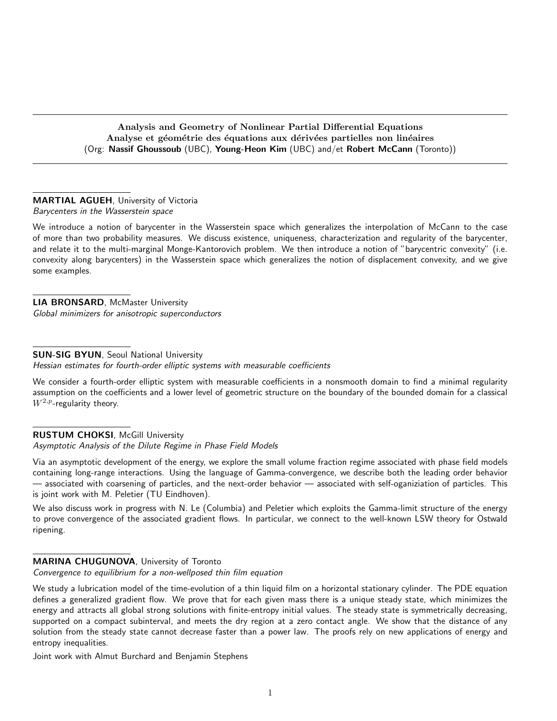Analysis and Geometry of Nonlinear Partial Differential Equations Analyse et géométrie des équations aux dérivées partielles non linéaires (Org: Nassif Ghoussoub (UBC), Young-Heon Kim (UBC) and/et Robert McCann (Toronto))

# MARTIAL AGUEH, University of Victoria

Barycenters in the Wasserstein space

We introduce a notion of barycenter in the Wasserstein space which generalizes the interpolation of McCann to the case of more than two probability measures. We discuss existence, uniqueness, characterization and regularity of the barycenter, and relate it to the multi-marginal Monge-Kantorovich problem. We then introduce a notion of "barycentric convexity" (i.e. convexity along barycenters) in the Wasserstein space which generalizes the notion of displacement convexity, and we give some examples.

LIA BRONSARD, McMaster University Global minimizers for anisotropic superconductors

# SUN-SIG BYUN, Seoul National University

Hessian estimates for fourth-order elliptic systems with measurable coefficients

We consider a fourth-order elliptic system with measurable coefficients in a nonsmooth domain to find a minimal regularity assumption on the coefficients and a lower level of geometric structure on the boundary of the bounded domain for a classical  $W^{2,p}$ -regularity theory.

# RUSTUM CHOKSI, McGill University Asymptotic Analysis of the Dilute Regime in Phase Field Models

Via an asymptotic development of the energy, we explore the small volume fraction regime associated with phase field models containing long-range interactions. Using the language of Gamma-convergence, we describe both the leading order behavior — associated with coarsening of particles, and the next-order behavior — associated with self-oganiziation of particles. This is joint work with M. Peletier (TU Eindhoven).

We also discuss work in progress with N. Le (Columbia) and Peletier which exploits the Gamma-limit structure of the energy to prove convergence of the associated gradient flows. In particular, we connect to the well-known LSW theory for Ostwald ripening.

# MARINA CHUGUNOVA, University of Toronto

Convergence to equilibrium for a non-wellposed thin film equation

We study a lubrication model of the time-evolution of a thin liquid film on a horizontal stationary cylinder. The PDE equation defines a generalized gradient flow. We prove that for each given mass there is a unique steady state, which minimizes the energy and attracts all global strong solutions with finite-entropy initial values. The steady state is symmetrically decreasing, supported on a compact subinterval, and meets the dry region at a zero contact angle. We show that the distance of any solution from the steady state cannot decrease faster than a power law. The proofs rely on new applications of energy and entropy inequalities.

Joint work with Almut Burchard and Benjamin Stephens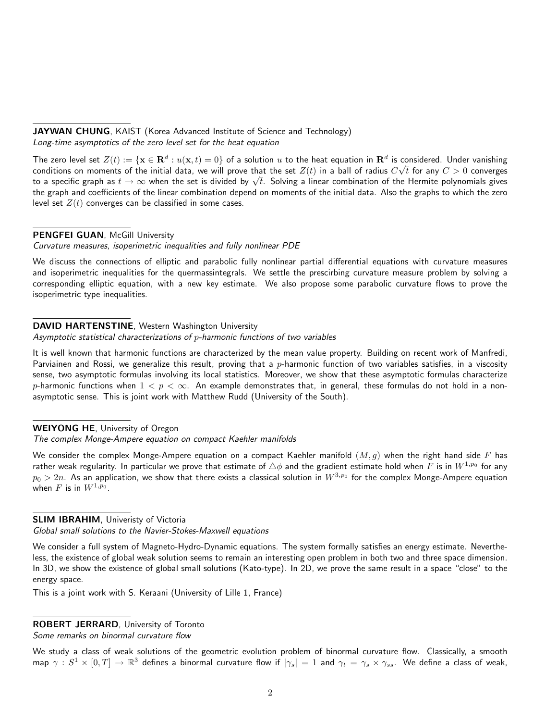JAYWAN CHUNG, KAIST (Korea Advanced Institute of Science and Technology) Long-time asymptotics of the zero level set for the heat equation

The zero level set  $Z(t) := \{ \mathbf{x} \in \mathbf{R}^d : u(\mathbf{x},t) = 0 \}$  of a solution  $u$  to the heat equation in  $\mathbf{R}^d$  is considered. Under vanishing conditions on moments of the initial data, we will prove that the set  $Z(t)$  in a ball of radius  $C\surd t$  for any  $C>0$  converges conditions on moments or the initial data, we will prove that the set  $Z(t)$  in a ball or radius  $C \sqrt{t}$  for any  $C > 0$  converges<br>to a specific graph as  $t \to \infty$  when the set is divided by  $\sqrt{t}$ . Solving a linear combin the graph and coefficients of the linear combination depend on moments of the initial data. Also the graphs to which the zero level set  $Z(t)$  converges can be classified in some cases.

### PENGFEI GUAN, McGill University

### Curvature measures, isoperimetric inequalities and fully nonlinear PDE

We discuss the connections of elliptic and parabolic fully nonlinear partial differential equations with curvature measures and isoperimetric inequalities for the quermassintegrals. We settle the prescirbing curvature measure problem by solving a corresponding elliptic equation, with a new key estimate. We also propose some parabolic curvature flows to prove the isoperimetric type inequalities.

### DAVID HARTENSTINE, Western Washington University

#### Asymptotic statistical characterizations of p-harmonic functions of two variables

It is well known that harmonic functions are characterized by the mean value property. Building on recent work of Manfredi, Parviainen and Rossi, we generalize this result, proving that a  $p$ -harmonic function of two variables satisfies, in a viscosity sense, two asymptotic formulas involving its local statistics. Moreover, we show that these asymptotic formulas characterize p-harmonic functions when  $1 < p < \infty$ . An example demonstrates that, in general, these formulas do not hold in a nonasymptotic sense. This is joint work with Matthew Rudd (University of the South).

#### WEIYONG HE, University of Oregon

# The complex Monge-Ampere equation on compact Kaehler manifolds

We consider the complex Monge-Ampere equation on a compact Kaehler manifold  $(M, g)$  when the right hand side F has rather weak regularity. In particular we prove that estimate of  $\triangle\phi$  and the gradient estimate hold when  $F$  is in  $W^{1,p_0}$  for any  $p_0>2n$ . As an application, we show that there exists a classical solution in  $W^{3,p_0}$  for the complex Monge-Ampere equation when  $F$  is in  $W^{1,p_0}.$ 

### **SLIM IBRAHIM, Univeristy of Victoria**

Global small solutions to the Navier-Stokes-Maxwell equations

We consider a full system of Magneto-Hydro-Dynamic equations. The system formally satisfies an energy estimate. Nevertheless, the existence of global weak solution seems to remain an interesting open problem in both two and three space dimension. In 3D, we show the existence of global small solutions (Kato-type). In 2D, we prove the same result in a space "close" to the energy space.

This is a joint work with S. Keraani (University of Lille 1, France)

#### ROBERT JERRARD, University of Toronto

Some remarks on binormal curvature flow

We study a class of weak solutions of the geometric evolution problem of binormal curvature flow. Classically, a smooth map  $\gamma: S^1\times [0,T]\to \mathbb{R}^3$  defines a binormal curvature flow if  $|\gamma_s|=1$  and  $\gamma_t=\gamma_s\times\gamma_{ss}.$  We define a class of weak,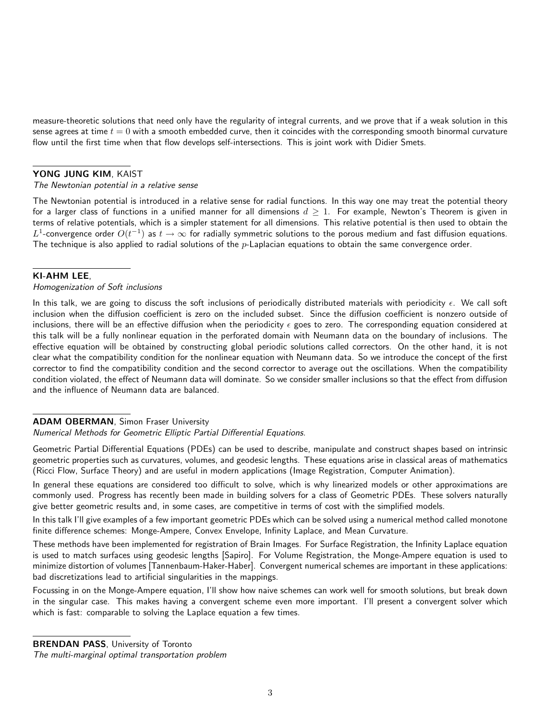measure-theoretic solutions that need only have the regularity of integral currents, and we prove that if a weak solution in this sense agrees at time  $t = 0$  with a smooth embedded curve, then it coincides with the corresponding smooth binormal curvature flow until the first time when that flow develops self-intersections. This is joint work with Didier Smets.

### YONG JUNG KIM, KAIST

#### The Newtonian potential in a relative sense

The Newtonian potential is introduced in a relative sense for radial functions. In this way one may treat the potential theory for a larger class of functions in a unified manner for all dimensions  $d \ge 1$ . For example, Newton's Theorem is given in terms of relative potentials, which is a simpler statement for all dimensions. This relative potential is then used to obtain the  $L^1$ -convergence order  $O(t^{-1})$  as  $t\to\infty$  for radially symmetric solutions to the porous medium and fast diffusion equations. The technique is also applied to radial solutions of the  $p$ -Laplacian equations to obtain the same convergence order.

# KI-AHM LEE,

#### Homogenization of Soft inclusions

In this talk, we are going to discuss the soft inclusions of periodically distributed materials with periodicity  $\epsilon$ . We call soft inclusion when the diffusion coefficient is zero on the included subset. Since the diffusion coefficient is nonzero outside of inclusions, there will be an effective diffusion when the periodicity  $\epsilon$  goes to zero. The corresponding equation considered at this talk will be a fully nonlinear equation in the perforated domain with Neumann data on the boundary of inclusions. The effective equation will be obtained by constructing global periodic solutions called correctors. On the other hand, it is not clear what the compatibility condition for the nonlinear equation with Neumann data. So we introduce the concept of the first corrector to find the compatibility condition and the second corrector to average out the oscillations. When the compatibility condition violated, the effect of Neumann data will dominate. So we consider smaller inclusions so that the effect from diffusion and the influence of Neumann data are balanced.

#### ADAM OBERMAN, Simon Fraser University

#### Numerical Methods for Geometric Elliptic Partial Differential Equations.

Geometric Partial Differential Equations (PDEs) can be used to describe, manipulate and construct shapes based on intrinsic geometric properties such as curvatures, volumes, and geodesic lengths. These equations arise in classical areas of mathematics (Ricci Flow, Surface Theory) and are useful in modern applications (Image Registration, Computer Animation).

In general these equations are considered too difficult to solve, which is why linearized models or other approximations are commonly used. Progress has recently been made in building solvers for a class of Geometric PDEs. These solvers naturally give better geometric results and, in some cases, are competitive in terms of cost with the simplified models.

In this talk I'll give examples of a few important geometric PDEs which can be solved using a numerical method called monotone finite difference schemes: Monge-Ampere, Convex Envelope, Infinity Laplace, and Mean Curvature.

These methods have been implemented for registration of Brain Images. For Surface Registration, the Infinity Laplace equation is used to match surfaces using geodesic lengths [Sapiro]. For Volume Registration, the Monge-Ampere equation is used to minimize distortion of volumes [Tannenbaum-Haker-Haber]. Convergent numerical schemes are important in these applications: bad discretizations lead to artificial singularities in the mappings.

Focussing in on the Monge-Ampere equation, I'll show how naive schemes can work well for smooth solutions, but break down in the singular case. This makes having a convergent scheme even more important. I'll present a convergent solver which which is fast: comparable to solving the Laplace equation a few times.

**BRENDAN PASS, University of Toronto** 

The multi-marginal optimal transportation problem